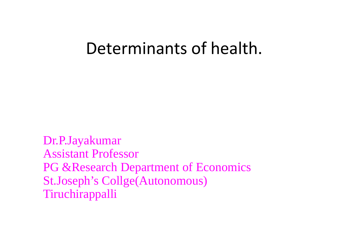#### Determinants of health.

Dr.P.Jayakumar Assistant Professor PG & Research Department of Economics St.Joseph's Collge(Autonomous) Tiruchirappalli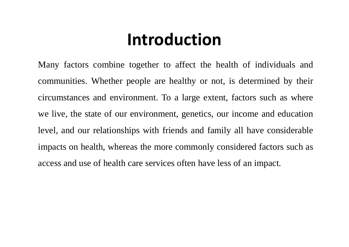## **Introduction**

Many factors combine together to affect the health of individuals and communities. Whether people are healthy or not, is determined by their circumstances and environment. To a large extent, factors such as where we live, the state of our environment, genetics, our income and education level, and our relationships with friends and family all have considerable impacts on health, whereas the more commonly considered factors such as access and use of health care services often have less of an impact.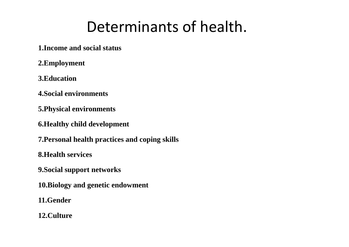#### Determinants of health.

**1.Income and social status**

**2.Employment**

**3.Education**

**4.Social environments**

**5.Physical environments**

**6.Healthy child development**

**7.Personal health practices and coping skills**

**8.Health services**

**9.Social support networks**

**10.Biology and genetic endowment**

**11.Gender**

**12.Culture**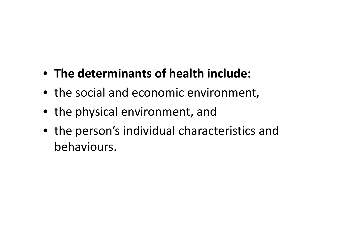- **The determinants of health include:**
- the social and economic environment,
- the physical environment, and
- the person's individual characteristics and behaviours.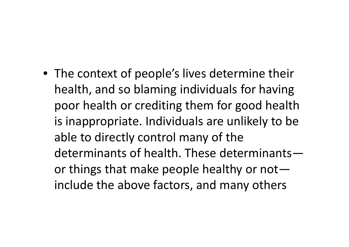• The context of people's lives determine their health, and so blaming individuals for having poor health or crediting them for good health is inappropriate. Individuals are unlikely to be able to directly control many of the determinants of health. These determinants or things that make people healthy or not include the above factors, and many others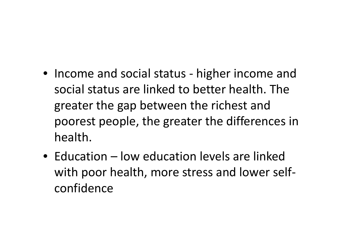- Income and social status higher income and social status are linked to better health. The greater the gap between the richest and poorest people, the greater the differences in health.
- Education low education levels are linked with poor health, more stress and lower self confidence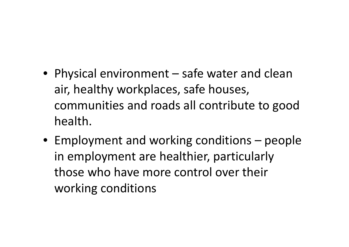- Physical environment safe water and clean air, healthy workplaces, safe houses, communities and roads all contribute to good health.
- Employment and working conditions people in employment are healthier, particularly those who have more control over their working conditions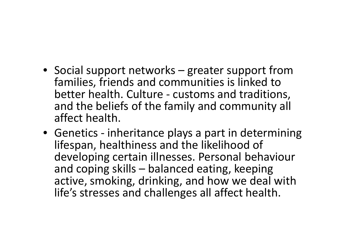- Social support networks greater support from families, friends and communities is linked to better health. Culture - customs and traditions, and the beliefs of the family and community all affect health.
- Genetics inheritance plays a part in determining lifespan, healthiness and the likelihood of developing certain illnesses. Personal behaviour and coping skills – balanced eating, keeping active, smoking, drinking, and how we deal with life's stresses and challenges all affect health.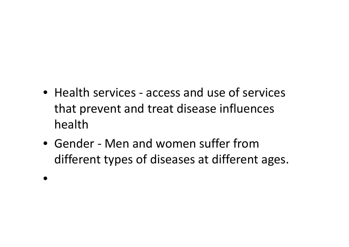- Health services access and use of services that prevent and treat disease influences health
- Gender Men and women suffer from different types of diseases at different ages.

•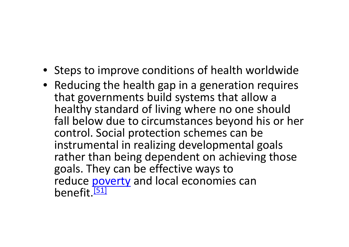- Steps to improve conditions of health worldwide
- Reducing the health gap in a generation requires that governments build systems that allow a healthy standard of living where no one should fall below due to circumstances beyond his or her control. Social protection schemes can be instrumental in realizing developmental goals rather than being dependent on achieving those goals. They can be effective ways to reduce poverty and local economies can benefit<sup>[51]</sup>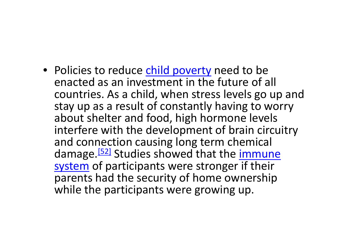• Policies to reduce child poverty need to be enacted as an investment in the future of all countries. As a child, when stress levels go up and stay up as a result of constantly having to worry about shelter and food, high hormone levels interfere with the development of brain circuitry and connection causing long term chemical damage.<sup>[52]</sup> Studies showed that the immune system of participants were stronger if their parents had the security of home ownership while the participants were growing up.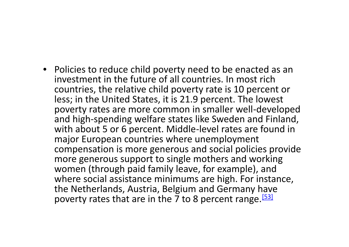• Policies to reduce child poverty need to be enacted as an investment in the future of all countries. In most rich countries, the relative child poverty rate is 10 percent or less; in the United States, it is 21.9 percent. The lowest poverty rates are more common in smaller well-developed and high-spending welfare states like Sweden and Finland, with about 5 or 6 percent. Middle-level rates are found in major European countries where unemployment compensation is more generous and social policies provide more generous support to single mothers and working women (through paid family leave, for example), and where social assistance minimums are high. For instance, the Netherlands, Austria, Belgium and Germany have poverty rates that are in the 7 to 8 percent range.<sup>[53]</sup>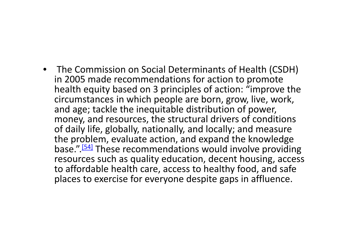• The Commission on Social Determinants of Health (CSDH) in 2005 made recommendations for action to promote health equity based on 3 principles of action: "improve the circumstances in which people are born, grow, live, work, and age; tackle the inequitable distribution of power, money, and resources, the structural drivers of conditions of daily life, globally, nationally, and locally; and measure the problem, evaluate action, and expand the knowledge base.".<sup>[54]</sup> These recommendations would involve providing resources such as quality education, decent housing, access to affordable health care, access to healthy food, and safe places to exercise for everyone despite gaps in affluence.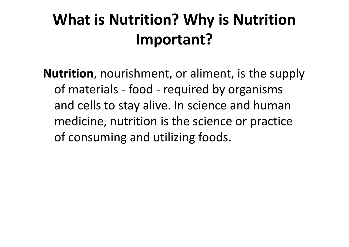# **What is Nutrition? Why is Nutrition Important?**

**Nutrition**, nourishment, or aliment, is the supply of materials - food - required by organisms and cells to stay alive. In science and human medicine, nutrition is the science or practice of consuming and utilizing foods.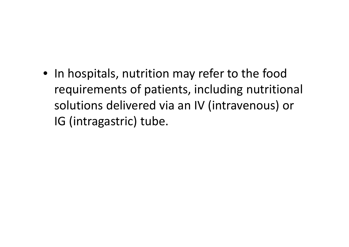• In hospitals, nutrition may refer to the food requirements of patients, including nutritional solutions delivered via an IV (intravenous) or IG (intragastric) tube.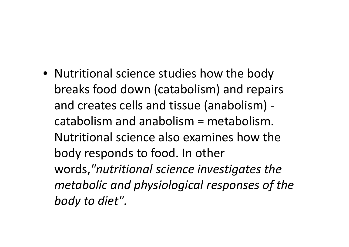• Nutritional science studies how the body breaks food down (catabolism) and repairs and creates cells and tissue (anabolism) catabolism and anabolism = metabolism. Nutritional science also examines how the body responds to food. In other words,*"nutritional science investigates the metabolic and physiological responses of the body to diet"*.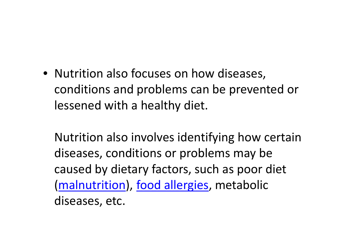• Nutrition also focuses on how diseases, conditions and problems can be prevented or lessened with a healthy diet.

Nutrition also involves identifying how certain diseases, conditions or problems may be caused by dietary factors, such as poor diet (malnutrition), food allergies, metabolic diseases, etc.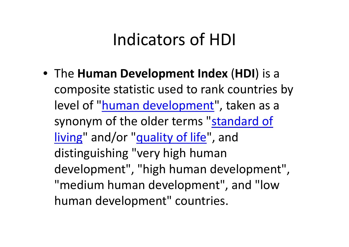### Indicators of HDI

• The **Human Development Index** (**HDI**) is a composite statistic used to rank countries by level of "human development", taken as a synonym of the older terms "standard of living" and/or "quality of life", and distinguishing "very high human development", "high human development", "medium human development", and "low human development" countries.